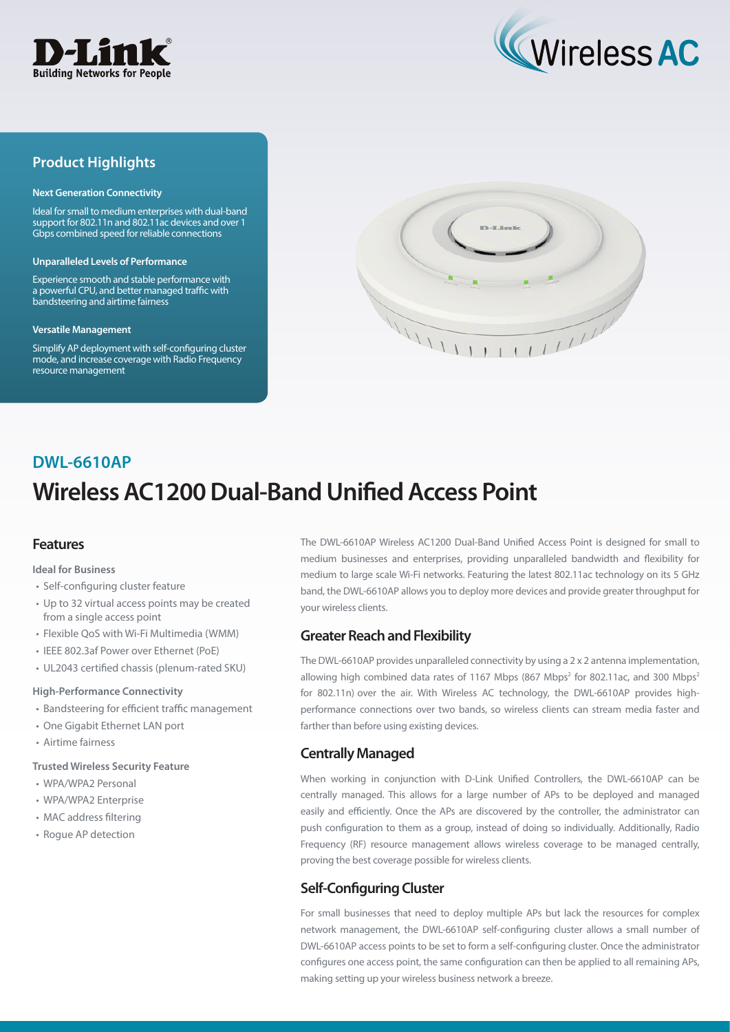



# **Product Highlights**

#### **Next Generation Connectivity**

Ideal for small to medium enterprises with dual-band support for 802.11n and 802.11ac devices and over 1 Gbps combined speed for reliable connections

#### **Unparalleled Levels of Performance**

Experience smooth and stable performance with a powerful CPU, and better managed traffic with bandsteering and airtime fairness

#### **Versatile Management**

Simplify AP deployment with self-configuring cluster mode, and increase coverage with Radio Frequency resource management



# **Wireless AC1200 Dual-Band Unified Access Point DWL-6610AP**

### **Features**

**Ideal for Business**

- Self-configuring cluster feature
- Up to 32 virtual access points may be created from a single access point
- Flexible QoS with Wi-Fi Multimedia (WMM)
- IEEE 802.3af Power over Ethernet (PoE)
- UL2043 certified chassis (plenum-rated SKU)

### **High-Performance Connectivity**

- Bandsteering for efficient traffic management
- One Gigabit Ethernet LAN port
- Airtime fairness

### **Trusted Wireless Security Feature**

- WPA/WPA2 Personal
- WPA/WPA2 Enterprise
- MAC address filtering
- Rogue AP detection

The DWL-6610AP Wireless AC1200 Dual-Band Unified Access Point is designed for small to medium businesses and enterprises, providing unparalleled bandwidth and flexibility for medium to large scale Wi-Fi networks. Featuring the latest 802.11ac technology on its 5 GHz band, the DWL-6610AP allows you to deploy more devices and provide greater throughput for your wireless clients.

### **Greater Reach and Flexibility**

The DWL-6610AP provides unparalleled connectivity by using a 2 x 2 antenna implementation, allowing high combined data rates of 1167 Mbps (867 Mbps<sup>2</sup> for 802.11ac, and 300 Mbps<sup>2</sup> for 802.11n) over the air. With Wireless AC technology, the DWL-6610AP provides highperformance connections over two bands, so wireless clients can stream media faster and farther than before using existing devices.

### **Centrally Managed**

When working in conjunction with D-Link Unified Controllers, the DWL-6610AP can be centrally managed. This allows for a large number of APs to be deployed and managed easily and efficiently. Once the APs are discovered by the controller, the administrator can push configuration to them as a group, instead of doing so individually. Additionally, Radio Frequency (RF) resource management allows wireless coverage to be managed centrally, proving the best coverage possible for wireless clients.

# **Self-Configuring Cluster**

For small businesses that need to deploy multiple APs but lack the resources for complex network management, the DWL-6610AP self-configuring cluster allows a small number of DWL-6610AP access points to be set to form a self-configuring cluster. Once the administrator configures one access point, the same configuration can then be applied to all remaining APs, making setting up your wireless business network a breeze.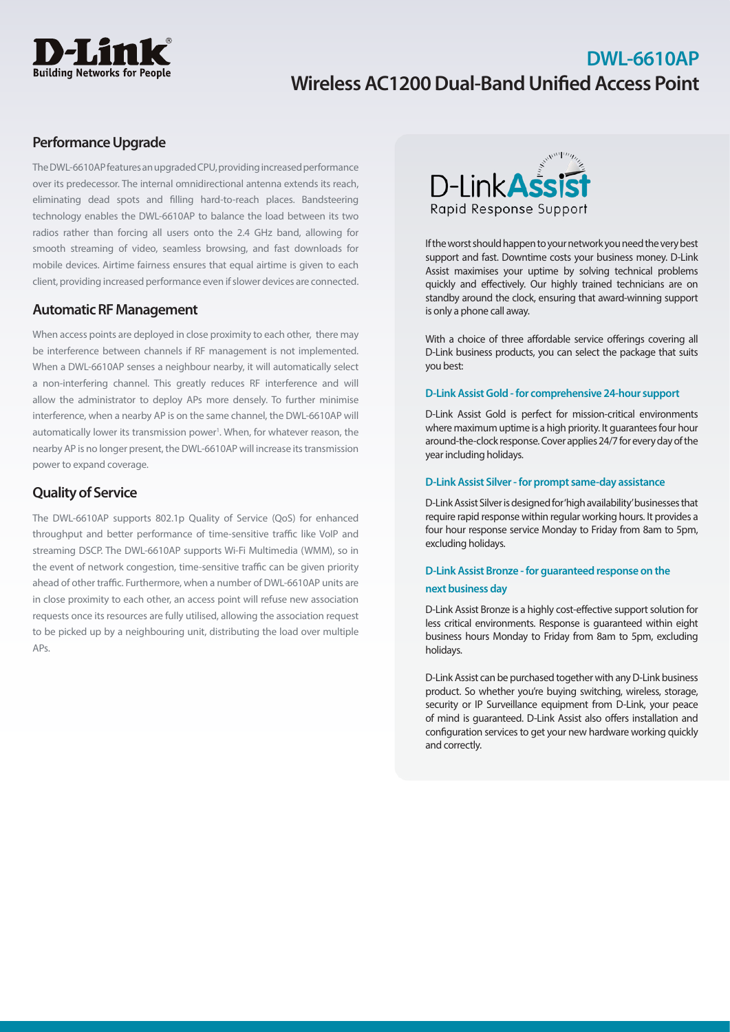

# **DWL-6610AP Wireless AC1200 Dual-Band Unified Access Point**

# **Performance Upgrade**

The DWL-6610AP features an upgraded CPU, providing increased performance over its predecessor. The internal omnidirectional antenna extends its reach, eliminating dead spots and filling hard-to-reach places. Bandsteering technology enables the DWL-6610AP to balance the load between its two radios rather than forcing all users onto the 2.4 GHz band, allowing for smooth streaming of video, seamless browsing, and fast downloads for mobile devices. Airtime fairness ensures that equal airtime is given to each client, providing increased performance even if slower devices are connected.

### **Automatic RF Management**

When access points are deployed in close proximity to each other, there may be interference between channels if RF management is not implemented. When a DWL-6610AP senses a neighbour nearby, it will automatically select a non-interfering channel. This greatly reduces RF interference and will allow the administrator to deploy APs more densely. To further minimise interference, when a nearby AP is on the same channel, the DWL-6610AP will automatically lower its transmission power<sup>1</sup>. When, for whatever reason, the nearby AP is no longer present, the DWL-6610AP will increase its transmission power to expand coverage.

# **Quality of Service**

The DWL-6610AP supports 802.1p Quality of Service (QoS) for enhanced throughput and better performance of time-sensitive traffic like VoIP and streaming DSCP. The DWL-6610AP supports Wi-Fi Multimedia (WMM), so in the event of network congestion, time-sensitive traffic can be given priority ahead of other traffic. Furthermore, when a number of DWL-6610AP units are in close proximity to each other, an access point will refuse new association requests once its resources are fully utilised, allowing the association request to be picked up by a neighbouring unit, distributing the load over multiple APs.



If the worst should happen to your network you need the very best support and fast. Downtime costs your business money. D-Link Assist maximises your uptime by solving technical problems quickly and effectively. Our highly trained technicians are on standby around the clock, ensuring that award-winning support is only a phone call away.

With a choice of three affordable service offerings covering all D-Link business products, you can select the package that suits you best:

### **D-Link Assist Gold - for comprehensive 24-hour support**

D-Link Assist Gold is perfect for mission-critical environments where maximum uptime is a high priority. It guarantees four hour around-the-clock response. Cover applies 24/7 for every day of the year including holidays.

### **D-Link Assist Silver - for prompt same-day assistance**

D-Link Assist Silver is designed for 'high availability' businesses that require rapid response within regular working hours. It provides a four hour response service Monday to Friday from 8am to 5pm, excluding holidays.

## **D-Link Assist Bronze - for guaranteed response on the next business day**

D-Link Assist Bronze is a highly cost-effective support solution for less critical environments. Response is guaranteed within eight business hours Monday to Friday from 8am to 5pm, excluding holidays.

D-Link Assist can be purchased together with any D-Link business product. So whether you're buying switching, wireless, storage, security or IP Surveillance equipment from D-Link, your peace of mind is guaranteed. D-Link Assist also offers installation and configuration services to get your new hardware working quickly and correctly.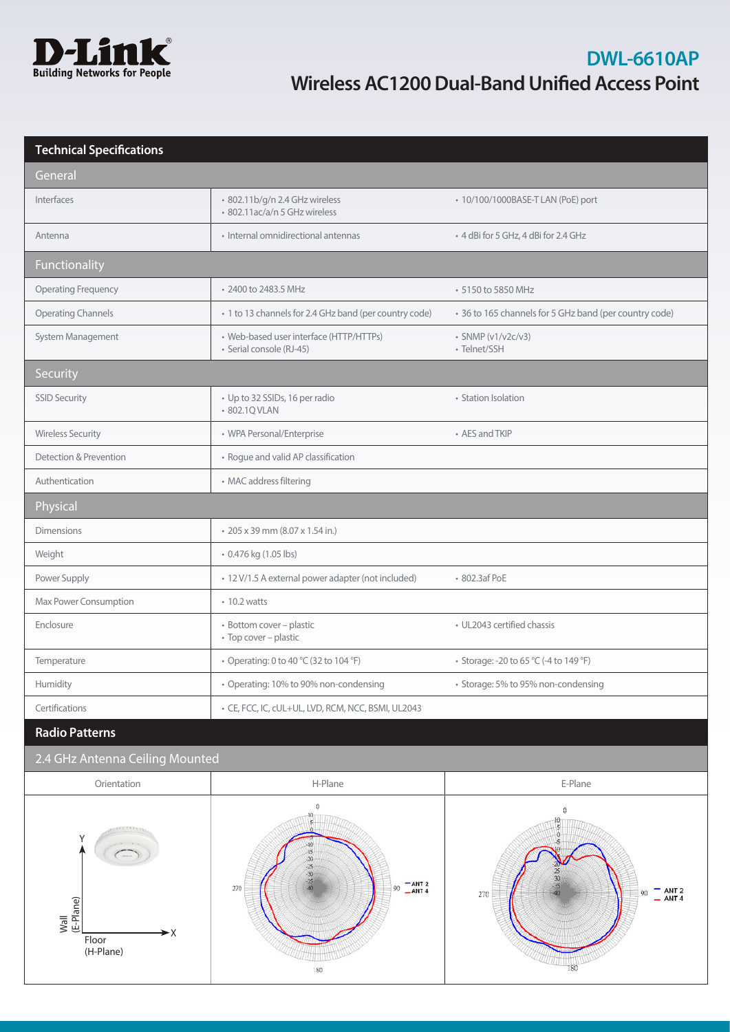

# **DWL-6610AP Wireless AC1200 Dual-Band Unified Access Point**

| <b>Technical Specifications</b>                    |                                                                                     |                                                        |
|----------------------------------------------------|-------------------------------------------------------------------------------------|--------------------------------------------------------|
| General                                            |                                                                                     |                                                        |
| Interfaces                                         | · 802.11b/g/n 2.4 GHz wireless<br>· 802.11ac/a/n 5 GHz wireless                     | • 10/100/1000BASE-T LAN (PoE) port                     |
| Antenna                                            | • Internal omnidirectional antennas                                                 | • 4 dBi for 5 GHz, 4 dBi for 2.4 GHz                   |
| Functionality                                      |                                                                                     |                                                        |
| <b>Operating Frequency</b>                         | • 2400 to 2483.5 MHz                                                                | • 5150 to 5850 MHz                                     |
| <b>Operating Channels</b>                          | • 1 to 13 channels for 2.4 GHz band (per country code)                              | • 36 to 165 channels for 5 GHz band (per country code) |
| System Management                                  | • Web-based user interface (HTTP/HTTPs)<br>· Serial console (RJ-45)                 | • SNMP (v1/v2c/v3)<br>· Telnet/SSH                     |
| Security                                           |                                                                                     |                                                        |
| <b>SSID Security</b>                               | • Up to 32 SSIDs, 16 per radio<br>• 802.1Q VLAN                                     | • Station Isolation                                    |
| <b>Wireless Security</b>                           | • WPA Personal/Enterprise                                                           | • AES and TKIP                                         |
| Detection & Prevention                             | • Rogue and valid AP classification                                                 |                                                        |
| Authentication                                     | • MAC address filtering                                                             |                                                        |
| Physical                                           |                                                                                     |                                                        |
| <b>Dimensions</b>                                  | • 205 x 39 mm (8.07 x 1.54 in.)                                                     |                                                        |
| Weight                                             | • 0.476 kg (1.05 lbs)                                                               |                                                        |
| Power Supply                                       | · 12 V/1.5 A external power adapter (not included)                                  | • 802.3af PoE                                          |
| Max Power Consumption                              | $\cdot$ 10.2 watts                                                                  |                                                        |
| Enclosure                                          | · Bottom cover - plastic<br>• Top cover - plastic                                   | • UL2043 certified chassis                             |
| Temperature                                        | • Operating: 0 to 40 °C (32 to 104 °F)                                              | • Storage: -20 to 65 °C (-4 to 149 °F)                 |
| Humidity                                           | • Operating: 10% to 90% non-condensing                                              | • Storage: 5% to 95% non-condensing                    |
| Certifications                                     | · CE, FCC, IC, cUL+UL, LVD, RCM, NCC, BSMI, UL2043                                  |                                                        |
| <b>Radio Patterns</b>                              |                                                                                     |                                                        |
| 2.4 GHz Antenna Ceiling Mounted                    |                                                                                     |                                                        |
| Orientation                                        | H-Plane                                                                             | E-Plane                                                |
| Υ<br>Wall<br>(E-Plane)<br>⊁X<br>Floor<br>(H-Plane) | $\mathbb O$<br>H5<br>20<br>$-25$<br>30<br>$90$ $-MT$ $2$<br>$-MT$ $4$<br>270<br>180 | 0<br>ю<br>$-$ ANT 2<br>$-$ ANT 4<br>270<br>90<br>180   |